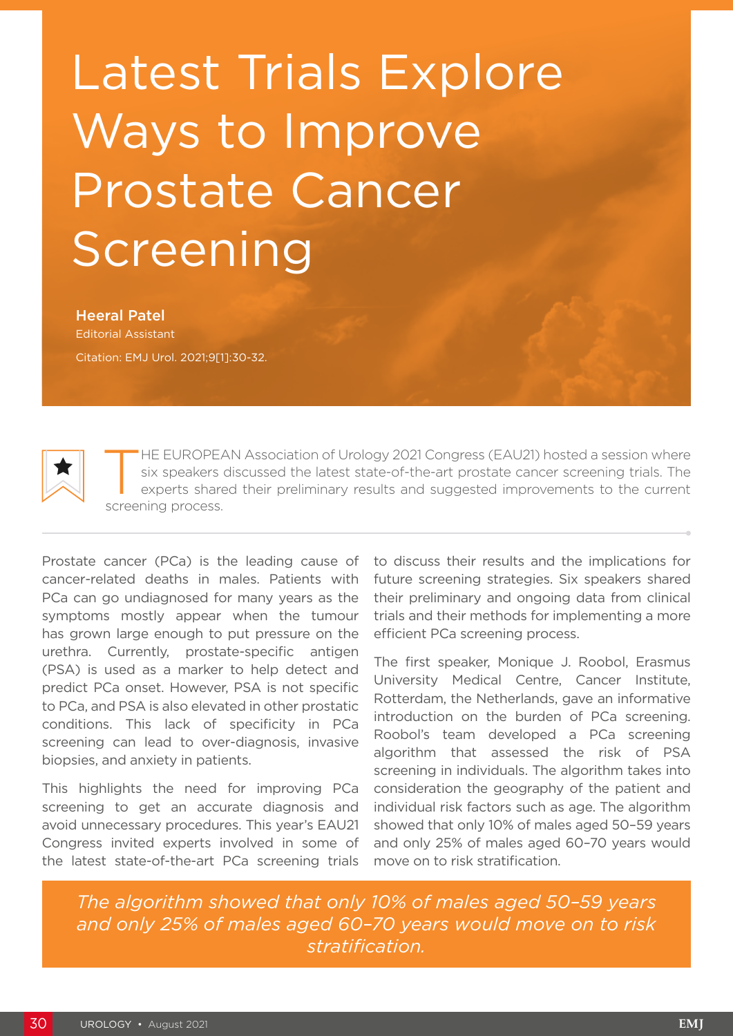## Latest Trials Explore Ways to Improve Prostate Cancer Screening

Heeral Patel Editorial Assistant Citation: EMJ Urol. 2021;9[1]:30-32.



HE EUROPEAN Association of Urology 2021 Congress (EAU21) hosted a session where six speakers discussed the latest state-of-the-art prostate cancer screening trials. The experts shared their preliminary results and suggested improvements to the current screening process.

Prostate cancer (PCa) is the leading cause of cancer-related deaths in males. Patients with PCa can go undiagnosed for many years as the symptoms mostly appear when the tumour has grown large enough to put pressure on the urethra. Currently, prostate-specific antigen (PSA) is used as a marker to help detect and predict PCa onset. However, PSA is not specific to PCa, and PSA is also elevated in other prostatic conditions. This lack of specificity in PCa screening can lead to over-diagnosis, invasive biopsies, and anxiety in patients.

This highlights the need for improving PCa screening to get an accurate diagnosis and avoid unnecessary procedures. This year's EAU21 Congress invited experts involved in some of the latest state-of-the-art PCa screening trials

to discuss their results and the implications for future screening strategies. Six speakers shared their preliminary and ongoing data from clinical trials and their methods for implementing a more efficient PCa screening process.

The first speaker, Monique J. Roobol, Erasmus University Medical Centre, Cancer Institute, Rotterdam, the Netherlands, gave an informative introduction on the burden of PCa screening. Roobol's team developed a PCa screening algorithm that assessed the risk of PSA screening in individuals. The algorithm takes into consideration the geography of the patient and individual risk factors such as age. The algorithm showed that only 10% of males aged 50–59 years and only 25% of males aged 60–70 years would move on to risk stratification.

*The algorithm showed that only 10% of males aged 50–59 years and only 25% of males aged 60–70 years would move on to risk stratification.*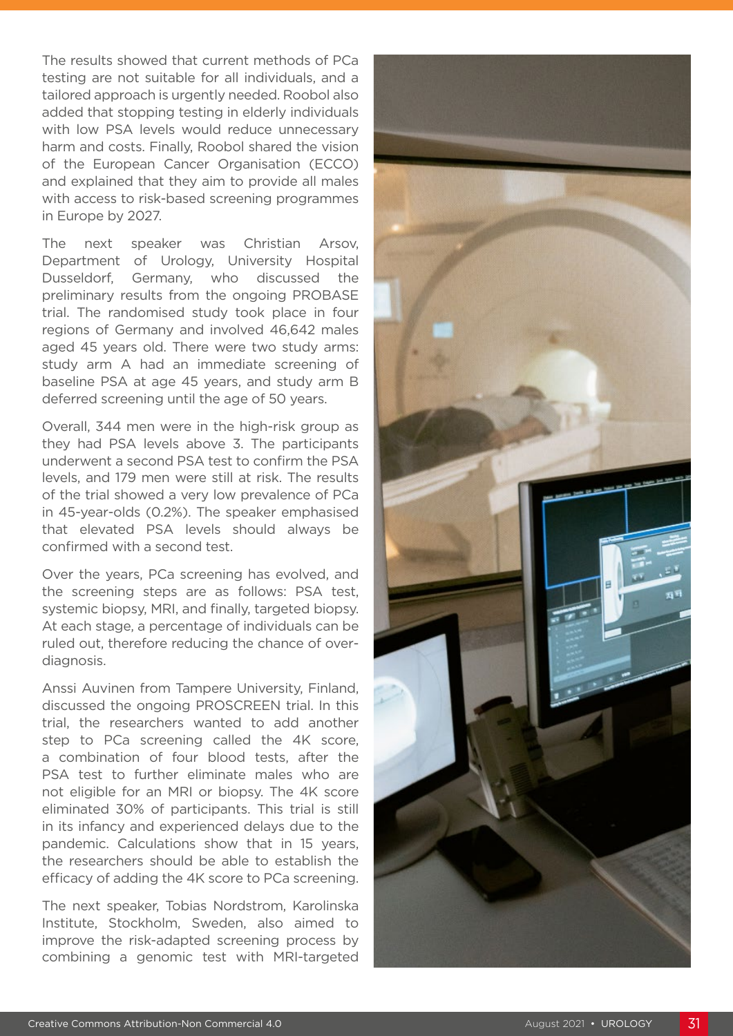The results showed that current methods of PCa testing are not suitable for all individuals, and a tailored approach is urgently needed. Roobol also added that stopping testing in elderly individuals with low PSA levels would reduce unnecessary harm and costs. Finally, Roobol shared the vision of the European Cancer Organisation (ECCO) and explained that they aim to provide all males with access to risk-based screening programmes in Europe by 2027.

The next speaker was Christian Arsov, Department of Urology, University Hospital Dusseldorf, Germany, who discussed the preliminary results from the ongoing PROBASE trial. The randomised study took place in four regions of Germany and involved 46,642 males aged 45 years old. There were two study arms: study arm A had an immediate screening of baseline PSA at age 45 years, and study arm B deferred screening until the age of 50 years.

Overall, 344 men were in the high-risk group as they had PSA levels above 3. The participants underwent a second PSA test to confirm the PSA levels, and 179 men were still at risk. The results of the trial showed a very low prevalence of PCa in 45-year-olds (0.2%). The speaker emphasised that elevated PSA levels should always be confirmed with a second test.

Over the years, PCa screening has evolved, and the screening steps are as follows: PSA test, systemic biopsy, MRI, and finally, targeted biopsy. At each stage, a percentage of individuals can be ruled out, therefore reducing the chance of overdiagnosis.

Anssi Auvinen from Tampere University, Finland, discussed the ongoing PROSCREEN trial. In this trial, the researchers wanted to add another step to PCa screening called the 4K score, a combination of four blood tests, after the PSA test to further eliminate males who are not eligible for an MRI or biopsy. The 4K score eliminated 30% of participants. This trial is still in its infancy and experienced delays due to the pandemic. Calculations show that in 15 years, the researchers should be able to establish the efficacy of adding the 4K score to PCa screening.

The next speaker, Tobias Nordstrom, Karolinska Institute, Stockholm, Sweden, also aimed to improve the risk-adapted screening process by combining a genomic test with MRI-targeted